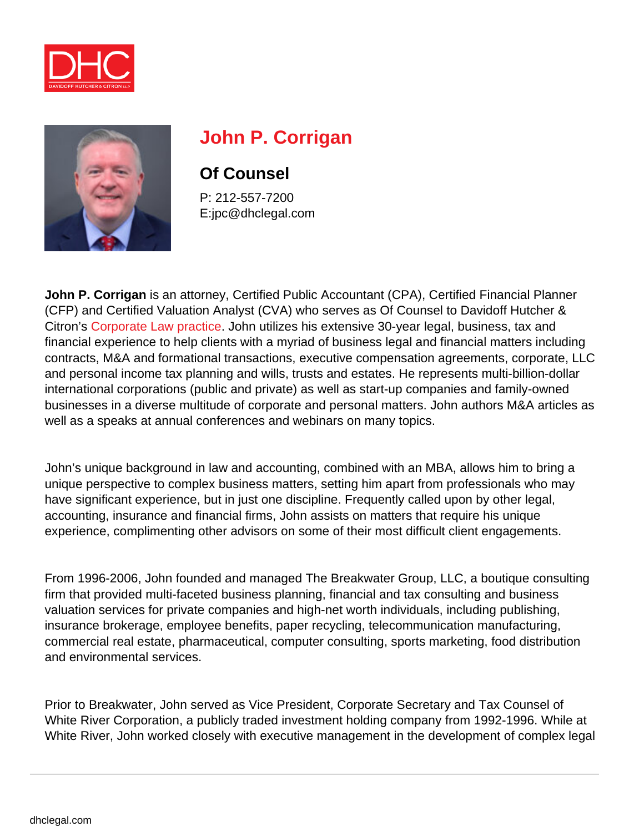



# **John P. Corrigan**

## **Of Counsel**

P: 212-557-7200 E:jpc@dhclegal.com

**John P. Corrigan** is an attorney, Certified Public Accountant (CPA), Certified Financial Planner (CFP) and Certified Valuation Analyst (CVA) who serves as Of Counsel to Davidoff Hutcher & Citron's [Corporate Law practice.](https://dhclegal.com/law-practice-areas/corporate-law/) John utilizes his extensive 30-year legal, business, tax and financial experience to help clients with a myriad of business legal and financial matters including contracts, M&A and formational transactions, executive compensation agreements, corporate, LLC and personal income tax planning and wills, trusts and estates. He represents multi-billion-dollar international corporations (public and private) as well as start-up companies and family-owned businesses in a diverse multitude of corporate and personal matters. John authors M&A articles as well as a speaks at annual conferences and webinars on many topics.

John's unique background in law and accounting, combined with an MBA, allows him to bring a unique perspective to complex business matters, setting him apart from professionals who may have significant experience, but in just one discipline. Frequently called upon by other legal, accounting, insurance and financial firms, John assists on matters that require his unique experience, complimenting other advisors on some of their most difficult client engagements.

From 1996-2006, John founded and managed The Breakwater Group, LLC, a boutique consulting firm that provided multi-faceted business planning, financial and tax consulting and business valuation services for private companies and high-net worth individuals, including publishing, insurance brokerage, employee benefits, paper recycling, telecommunication manufacturing, commercial real estate, pharmaceutical, computer consulting, sports marketing, food distribution and environmental services.

Prior to Breakwater, John served as Vice President, Corporate Secretary and Tax Counsel of White River Corporation, a publicly traded investment holding company from 1992-1996. While at White River, John worked closely with executive management in the development of complex legal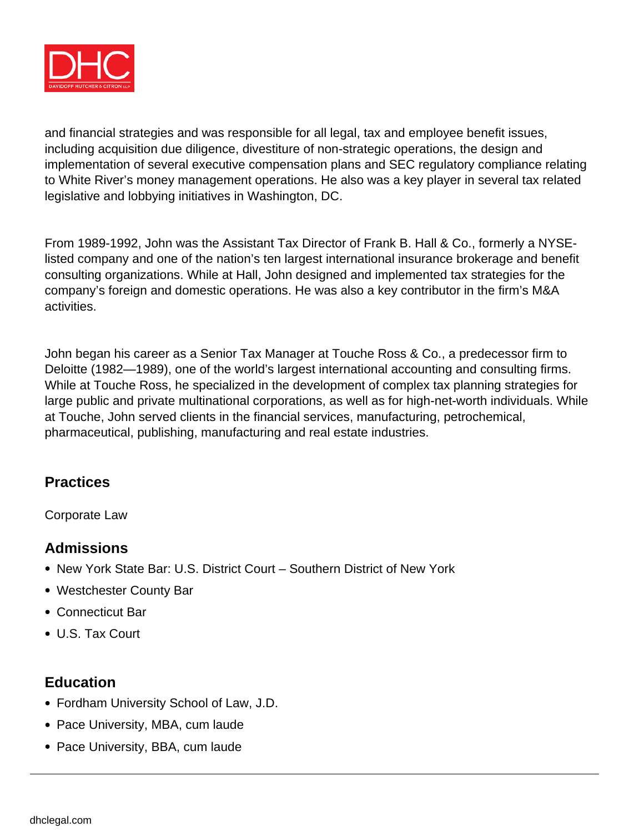

and financial strategies and was responsible for all legal, tax and employee benefit issues, including acquisition due diligence, divestiture of non-strategic operations, the design and implementation of several executive compensation plans and SEC regulatory compliance relating to White River's money management operations. He also was a key player in several tax related legislative and lobbying initiatives in Washington, DC.

From 1989-1992, John was the Assistant Tax Director of Frank B. Hall & Co., formerly a NYSElisted company and one of the nation's ten largest international insurance brokerage and benefit consulting organizations. While at Hall, John designed and implemented tax strategies for the company's foreign and domestic operations. He was also a key contributor in the firm's M&A activities.

John began his career as a Senior Tax Manager at Touche Ross & Co., a predecessor firm to Deloitte (1982—1989), one of the world's largest international accounting and consulting firms. While at Touche Ross, he specialized in the development of complex tax planning strategies for large public and private multinational corporations, as well as for high-net-worth individuals. While at Touche, John served clients in the financial services, manufacturing, petrochemical, pharmaceutical, publishing, manufacturing and real estate industries.

#### **Practices**

Corporate Law

### **Admissions**

- New York State Bar: U.S. District Court Southern District of New York
- Westchester County Bar
- Connecticut Bar
- U.S. Tax Court

#### **Education**

- Fordham University School of Law, J.D.
- Pace University, MBA, cum laude
- Pace University, BBA, cum laude